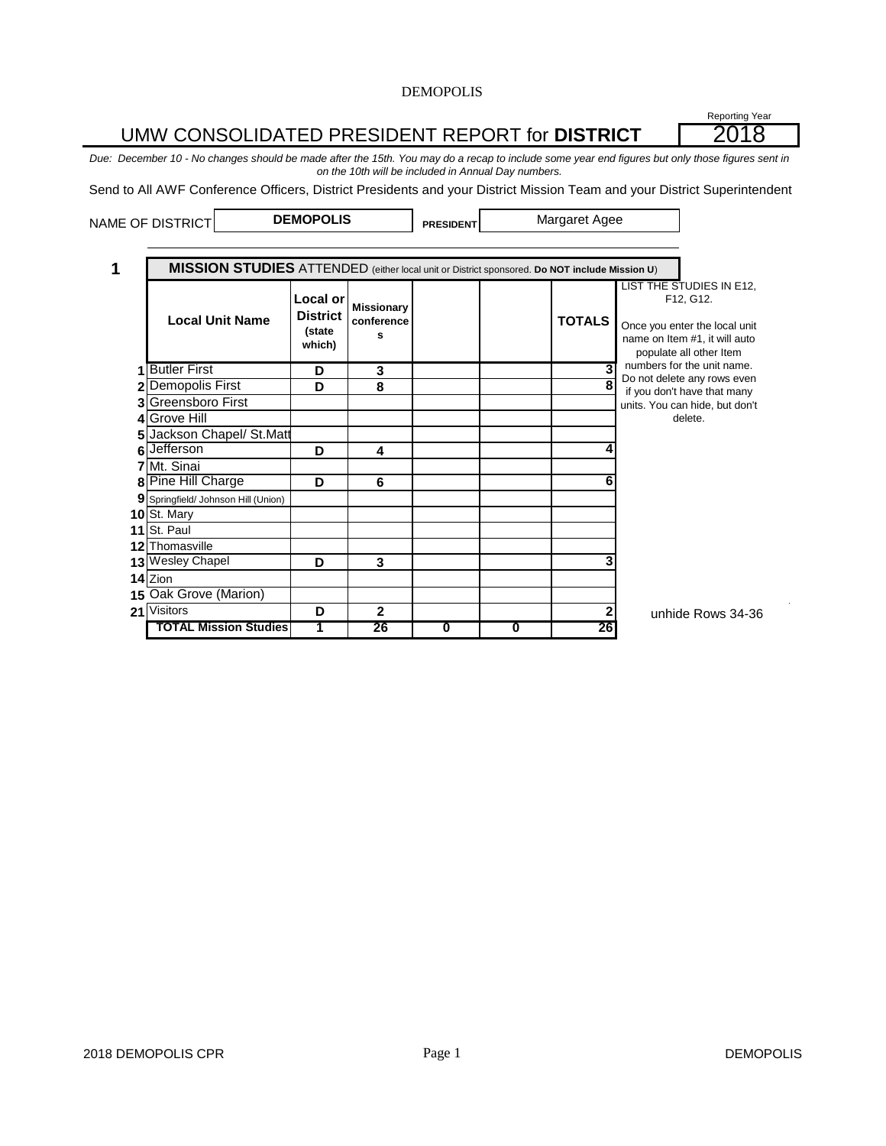#### **PRESIDENT 1 Local or District (state which) Missionary conference s TOTALS 1 D 3 3** Butler First **2 D 8 8** Demopolis First **3** Greensboro First **4** Grove Hill **5** Jackson Chapel/ St.Matt **6 D 4 4** Jefferson **7** Mt. Sinai **8 Pine Hill Charge \begin{array}{|c|c|c|c|c|} \hline \textbf{B} & \textbf{B} & \textbf{C} & \textbf{A} & \textbf{B} & \textbf{B} & \textbf{B} & \textbf{B} & \textbf{B} & \textbf{B} & \textbf{B} & \textbf{B} & \textbf{B} & \textbf{B} & \textbf{B} & \textbf{B} & \textbf{B} & \textbf{B} & \textbf{B} & \textbf{B} & \textbf{B} & \textbf{B} & \textbf{B} & \textbf{B} & \textbf{B} & \textbf{ 9** Springfield/ Johnson Hill (Union) **10** St. Mary **11** St. Paul **12** Thomasville **13** Wesley Chapel **D D 3 1 D 3 14** Zion **15** Oak Grove (Marion) **21**  $\left\vert \text{Visitors} \right\vert$  **D**  $\left\vert \text{2} \right\vert$  **2**  $\left\vert \text{2} \right\vert$  **2 TOTAL Mission Studies 1 26 0 0 26** if more unit lines are needed, Visitors unhide Rows 34-36 NAME OF DISTRICT **DEMOPOLIS RESIDENT** Margaret Agee **MISSION STUDIES** ATTENDED (either local unit or District sponsored. **Do NOT include Mission U**) **Local Unit Name** LIST THE STUDIES IN E12, F12, G12. Once you enter the local unit name on Item #1, it will auto populate all other Item numbers for the unit name. Do not delete any rows even if you don't have that many units. You can hide, but don't delete. UMW CONSOLIDATED PRESIDENT REPORT for **DISTRICT** 2018 *Due: December 10 - No changes should be made after the 15th. You may do a recap to include some year end figures but only those figures sent in on the 10th will be included in Annual Day numbers.* Send to All AWF Conference Officers, District Presidents and your District Mission Team and your District Superintendent

Reporting Year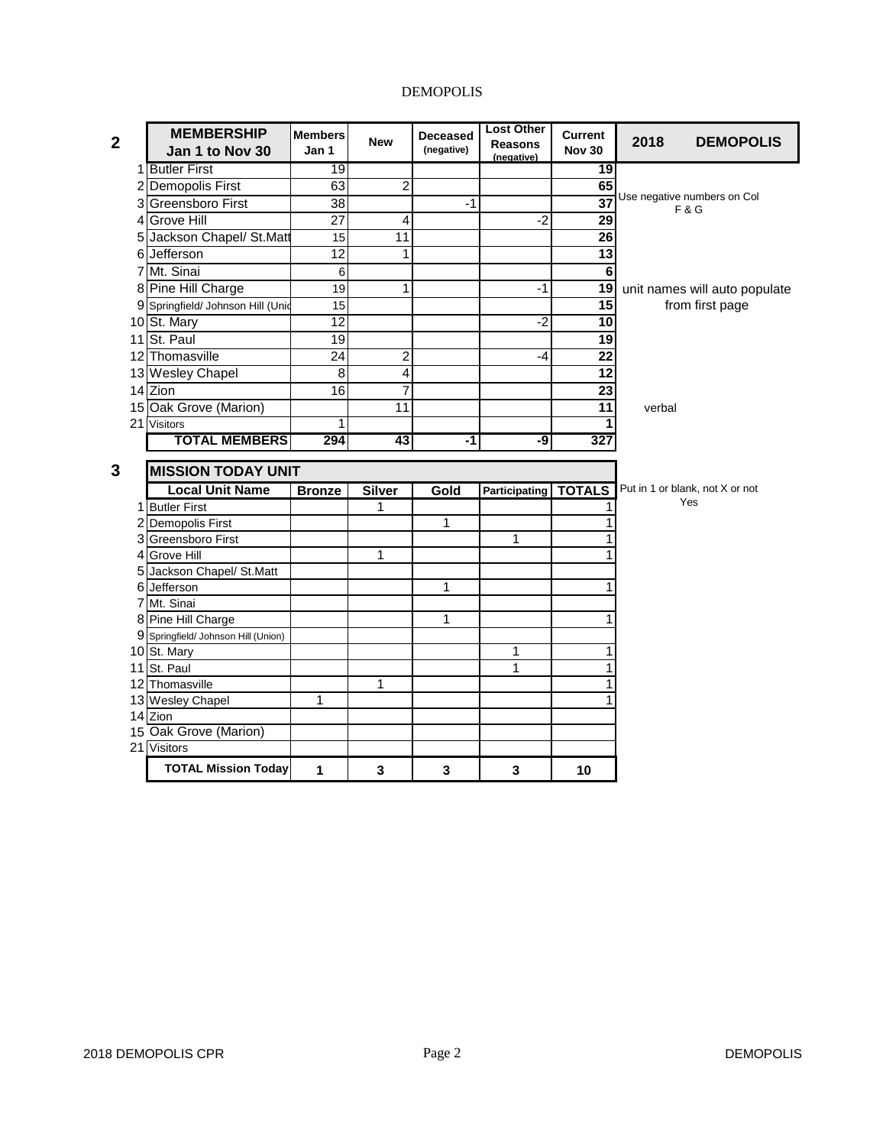| $\mathbf{2}$ | <b>MEMBERSHIP</b>                 | <b>Members</b>  | <b>New</b>     | <b>Deceased</b> | <b>Lost Other</b>            | <b>Current</b>  |        | <b>DEMOPOLIS</b>                              |  |
|--------------|-----------------------------------|-----------------|----------------|-----------------|------------------------------|-----------------|--------|-----------------------------------------------|--|
|              | Jan 1 to Nov 30                   | Jan 1           |                | (negative)      | <b>Reasons</b><br>(negative) | <b>Nov 30</b>   | 2018   |                                               |  |
|              | 1 Butler First                    | 19              |                |                 |                              | 19              |        |                                               |  |
|              | 2 Demopolis First                 | 63              | $\overline{2}$ |                 |                              | 65              |        |                                               |  |
|              | 3 Greensboro First                | $\overline{38}$ |                | $-1$            |                              | $\overline{37}$ |        | Use negative numbers on Col<br><b>F&amp;G</b> |  |
|              | 4 Grove Hill                      | $\overline{27}$ | 4              |                 | $-2$                         | 29              |        |                                               |  |
|              | 5 Jackson Chapel/ St.Matt         | 15              | 11             |                 |                              | $\overline{26}$ |        |                                               |  |
|              | 6 Jefferson                       | $\overline{12}$ | 1              |                 |                              | 13              |        |                                               |  |
|              | 7 Mt. Sinai                       | $\,6$           |                |                 |                              | $\overline{6}$  |        |                                               |  |
|              | 8 Pine Hill Charge                | 19              | 1              |                 | $-1$                         | $\overline{19}$ |        | unit names will auto populate                 |  |
|              | 9 Springfield/ Johnson Hill (Unid | 15              |                |                 |                              | 15              |        | from first page                               |  |
|              | 10 St. Mary                       | $\overline{12}$ |                |                 | $-2$                         | 10              |        |                                               |  |
|              | 11 St. Paul                       | 19              |                |                 |                              | 19              |        |                                               |  |
|              | 12 Thomasville                    | 24              | $\overline{2}$ |                 | -4                           | $\overline{22}$ |        |                                               |  |
|              | 13 Wesley Chapel                  | 8               | 4              |                 |                              | 12              |        |                                               |  |
|              | 14 Zion                           | $\overline{16}$ | 7              |                 |                              | 23              |        |                                               |  |
|              | 15 Oak Grove (Marion)             |                 | 11             |                 |                              | 11              | verbal |                                               |  |
|              | 21 Visitors                       | 1               |                |                 |                              | 1               |        |                                               |  |
|              | <b>TOTAL MEMBERS</b>              | 294             | 43             | -1              | -9                           | 327             |        |                                               |  |
|              |                                   |                 |                |                 |                              |                 |        |                                               |  |
| 3            | <b>MISSION TODAY UNIT</b>         |                 |                |                 |                              |                 |        |                                               |  |
|              | <b>Local Unit Name</b>            | <b>Bronze</b>   | <b>Silver</b>  | Gold            | <b>Participating</b>         | <b>TOTALS</b>   |        | Put in 1 or blank, not X or not<br>Yes        |  |
|              | 1 Butler First                    |                 | 1              |                 |                              | 1               |        |                                               |  |
|              | 2 Demopolis First                 |                 |                | 1               |                              | 1<br>1          |        |                                               |  |
|              | 3 Greensboro First                |                 | 1              |                 | 1                            | 1               |        |                                               |  |
|              | 4 Grove Hill                      |                 |                |                 |                              |                 |        |                                               |  |
|              | 5 Jackson Chapel/ St.Matt         |                 |                | 1               |                              | 1               |        |                                               |  |
|              | 6 Jefferson<br>7 Mt. Sinai        |                 |                |                 |                              |                 |        |                                               |  |
|              | 8 Pine Hill Charge                |                 |                | $\mathbf{1}$    |                              | 1               |        |                                               |  |
| 9            | Springfield/ Johnson Hill (Union) |                 |                |                 |                              |                 |        |                                               |  |
|              | 10 St. Mary                       |                 |                |                 | 1                            | 1               |        |                                               |  |
|              | 11 St. Paul                       |                 |                |                 | 1                            | $\overline{1}$  |        |                                               |  |
|              | 12 Thomasville                    |                 | 1              |                 |                              | 1               |        |                                               |  |
|              | 13 Wesley Chapel                  | 1               |                |                 |                              | 1               |        |                                               |  |
|              | 14 Zion                           |                 |                |                 |                              |                 |        |                                               |  |
|              | 15 Oak Grove (Marion)             |                 |                |                 |                              |                 |        |                                               |  |
|              | 21 Visitors                       |                 |                |                 |                              |                 |        |                                               |  |
|              | <b>TOTAL Mission Today</b>        | 1               | 3              | 3               | 3                            | 10              |        |                                               |  |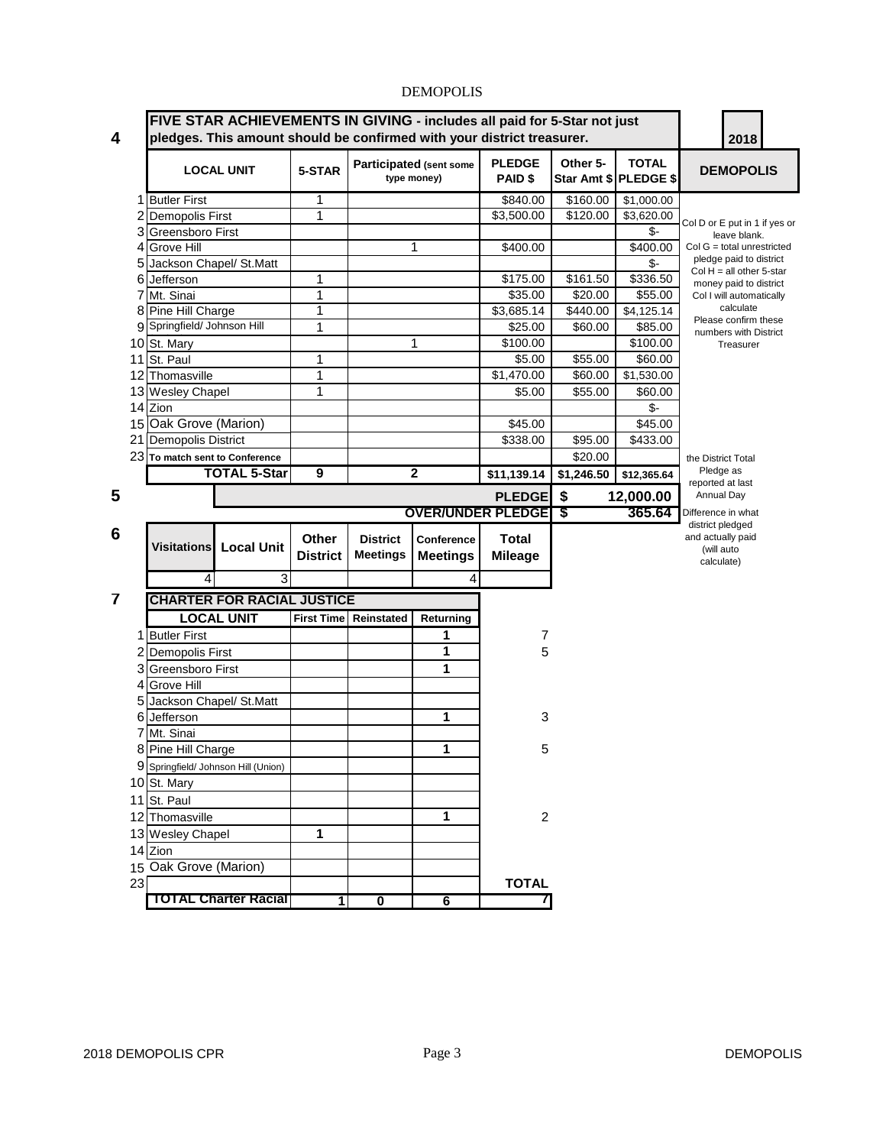| 4  | FIVE STAR ACHIEVEMENTS IN GIVING - includes all paid for 5-Star not just<br>pledges. This amount should be confirmed with your district treasurer. |                                     |                 |                       |                                        |                                 |            | 2018                                  |                                                       |
|----|----------------------------------------------------------------------------------------------------------------------------------------------------|-------------------------------------|-----------------|-----------------------|----------------------------------------|---------------------------------|------------|---------------------------------------|-------------------------------------------------------|
|    |                                                                                                                                                    | <b>LOCAL UNIT</b>                   | 5-STAR          |                       | Participated (sent some<br>type money) | <b>PLEDGE</b><br><b>PAID \$</b> | Other 5-   | <b>TOTAL</b><br>Star Amt \$ PLEDGE \$ | <b>DEMOPOLIS</b>                                      |
|    | 1 Butler First                                                                                                                                     |                                     | 1               |                       |                                        | \$840.00                        | \$160.00   | \$1,000.00                            |                                                       |
|    | <b>Demopolis First</b>                                                                                                                             |                                     | 1               |                       |                                        | \$3,500.00                      | \$120.00   | \$3,620.00                            | Col D or E put in 1 if yes or                         |
|    | 3 Greensboro First                                                                                                                                 |                                     |                 |                       |                                        |                                 |            | \$-                                   | leave blank.                                          |
|    | 4 Grove Hill                                                                                                                                       |                                     |                 |                       | 1                                      | \$400.00                        |            | \$400.00                              | $Col G = total$ unrestricted                          |
|    | 5 Jackson Chapel/ St.Matt                                                                                                                          |                                     |                 |                       |                                        |                                 |            | \$-                                   | pledge paid to district<br>Col $H = all other 5-star$ |
|    | 6 Jefferson                                                                                                                                        |                                     | 1               |                       |                                        | \$175.00                        | \$161.50   | \$336.50                              | money paid to district                                |
|    | Mt. Sinai                                                                                                                                          |                                     | 1               |                       |                                        | \$35.00                         | \$20.00    | \$55.00                               | Col I will automatically                              |
|    | 8 Pine Hill Charge                                                                                                                                 |                                     | 1               |                       |                                        | \$3,685.14                      | \$440.00   | \$4,125.14                            | calculate<br>Please confirm these                     |
|    | 9 Springfield/ Johnson Hill                                                                                                                        |                                     | 1               |                       |                                        | \$25.00                         | \$60.00    | \$85.00                               | numbers with District                                 |
|    | 10 St. Mary                                                                                                                                        |                                     |                 |                       | 1                                      | \$100.00                        |            | \$100.00                              | Treasurer                                             |
|    | 11 St. Paul                                                                                                                                        |                                     | 1               |                       |                                        | \$5.00                          | \$55.00    | \$60.00                               |                                                       |
|    | 12 Thomasville                                                                                                                                     |                                     | 1               |                       |                                        | \$1,470.00                      | \$60.00    | \$1,530.00                            |                                                       |
|    | 13 Wesley Chapel                                                                                                                                   |                                     | 1               |                       |                                        | \$5.00                          | \$55.00    | \$60.00                               |                                                       |
|    | 14 Zion                                                                                                                                            |                                     |                 |                       |                                        |                                 |            | \$-                                   |                                                       |
|    | 15 Oak Grove (Marion)                                                                                                                              |                                     |                 |                       |                                        | \$45.00                         |            | \$45.00                               |                                                       |
| 21 | <b>Demopolis District</b>                                                                                                                          |                                     |                 |                       |                                        | \$338.00                        | \$95.00    | \$433.00                              |                                                       |
|    | 23 To match sent to Conference                                                                                                                     |                                     |                 |                       |                                        |                                 | \$20.00    |                                       | the District Total                                    |
|    |                                                                                                                                                    | <b>TOTAL 5-Star</b>                 | 9               |                       | $\mathbf 2$                            | \$11,139.14                     | \$1,246.50 | \$12,365.64                           | Pledge as<br>reported at last                         |
| 5  |                                                                                                                                                    |                                     |                 |                       |                                        | <b>PLEDGE</b>                   | \$         | 12,000.00                             | Annual Day                                            |
|    |                                                                                                                                                    |                                     |                 |                       |                                        | <b>OVER/UNDER PLEDGET \$</b>    |            | 365.64                                | Difference in what                                    |
| 6  |                                                                                                                                                    |                                     | <b>Other</b>    | <b>District</b>       | Conference                             | <b>Total</b>                    |            |                                       | district pledged<br>and actually paid                 |
|    | <b>Visitations</b>                                                                                                                                 | <b>Local Unit</b>                   | <b>District</b> | <b>Meetings</b>       | <b>Meetings</b>                        | <b>Mileage</b>                  |            |                                       | (will auto                                            |
|    |                                                                                                                                                    |                                     |                 |                       |                                        |                                 |            |                                       | calculate)                                            |
|    | 4                                                                                                                                                  | 3                                   |                 |                       | 4                                      |                                 |            |                                       |                                                       |
| 7  |                                                                                                                                                    | <b>CHARTER FOR RACIAL JUSTICE</b>   |                 |                       |                                        |                                 |            |                                       |                                                       |
|    |                                                                                                                                                    | <b>LOCAL UNIT</b>                   |                 | First Time Reinstated | Returning                              |                                 |            |                                       |                                                       |
|    | 1 Butler First                                                                                                                                     |                                     |                 |                       | 1                                      | 7                               |            |                                       |                                                       |
|    | 2 Demopolis First                                                                                                                                  |                                     |                 |                       | 1                                      | 5                               |            |                                       |                                                       |
|    | 3 Greensboro First                                                                                                                                 |                                     |                 |                       | 1                                      |                                 |            |                                       |                                                       |
|    | 4 Grove Hill                                                                                                                                       |                                     |                 |                       |                                        |                                 |            |                                       |                                                       |
|    | Jackson Chapel/ St.Matt                                                                                                                            |                                     |                 |                       |                                        |                                 |            |                                       |                                                       |
|    | 6 Jefferson                                                                                                                                        |                                     |                 |                       | 1                                      | 3                               |            |                                       |                                                       |
|    | Mt. Sinai<br>7                                                                                                                                     |                                     |                 |                       |                                        |                                 |            |                                       |                                                       |
|    | 8 Pine Hill Charge                                                                                                                                 |                                     |                 |                       | 1                                      | 5                               |            |                                       |                                                       |
|    |                                                                                                                                                    | 9 Springfield/ Johnson Hill (Union) |                 |                       |                                        |                                 |            |                                       |                                                       |
|    | 10 St. Mary                                                                                                                                        |                                     |                 |                       |                                        |                                 |            |                                       |                                                       |
|    | 11 St. Paul                                                                                                                                        |                                     |                 |                       |                                        |                                 |            |                                       |                                                       |
|    | 12 Thomasville                                                                                                                                     |                                     |                 |                       | 1                                      | $\overline{c}$                  |            |                                       |                                                       |
|    | 13 Wesley Chapel                                                                                                                                   |                                     | 1               |                       |                                        |                                 |            |                                       |                                                       |
|    | 14 Zion                                                                                                                                            |                                     |                 |                       |                                        |                                 |            |                                       |                                                       |
|    | 15 Oak Grove (Marion)                                                                                                                              |                                     |                 |                       |                                        |                                 |            |                                       |                                                       |
| 23 |                                                                                                                                                    |                                     |                 |                       |                                        | <b>TOTAL</b>                    |            |                                       |                                                       |
|    |                                                                                                                                                    | <b>TOTAL Charter Racial</b>         | 1               | 0                     | 6                                      | <sup>'</sup>                    |            |                                       |                                                       |
|    |                                                                                                                                                    |                                     |                 |                       |                                        |                                 |            |                                       |                                                       |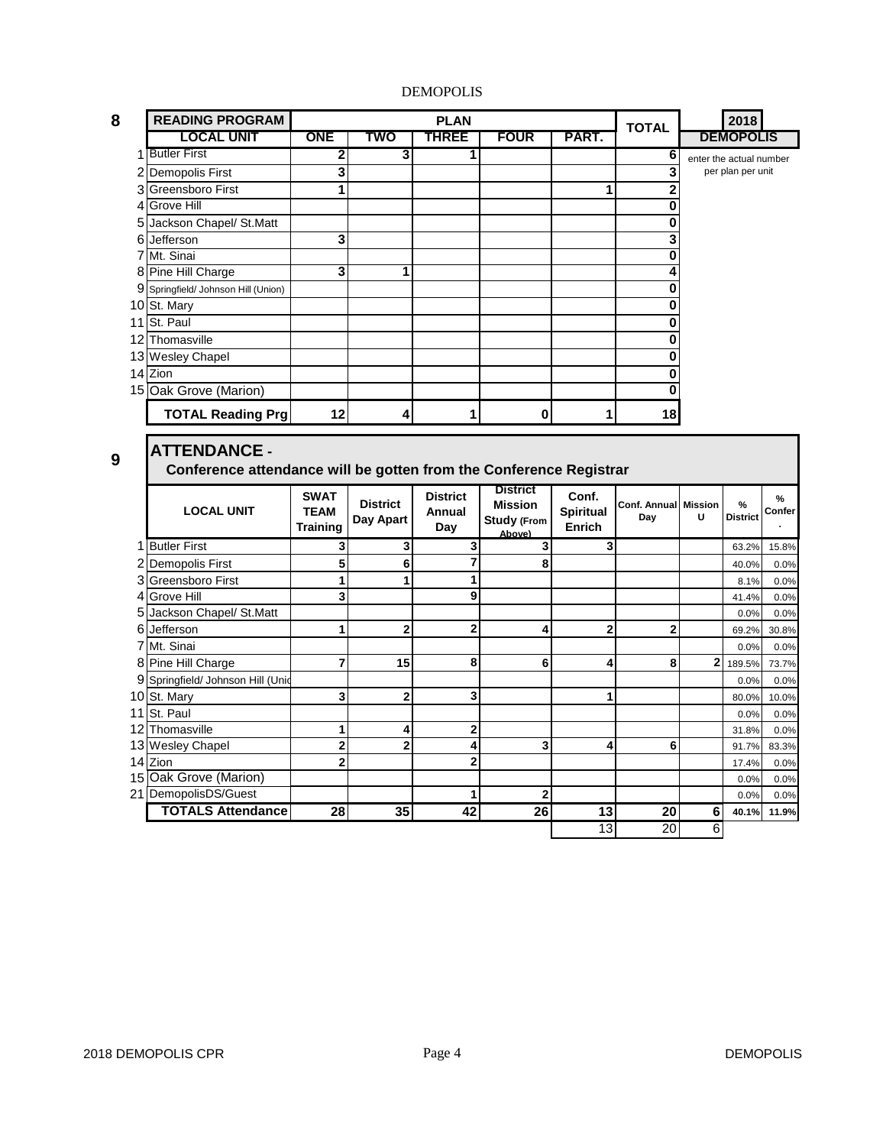| 8              | <b>READING PROGRAM</b>                                             | <b>PLAN</b>             |                 |                 | <b>TOTAL</b>       | 2018             |                             |                     |                         |        |
|----------------|--------------------------------------------------------------------|-------------------------|-----------------|-----------------|--------------------|------------------|-----------------------------|---------------------|-------------------------|--------|
|                | <b>LOCAL UNIT</b>                                                  | ONE                     | TWO             | <b>THREE</b>    | <b>FOUR</b>        | PART.            |                             |                     | <b>DEMOPOLIS</b>        |        |
|                | 1 Butler First                                                     | 2                       | 3               | 1               |                    |                  | 6                           |                     | enter the actual number |        |
| 2              | <b>Demopolis First</b>                                             | 3                       |                 |                 |                    |                  | 3                           |                     | per plan per unit       |        |
|                | 3 Greensboro First                                                 | 1                       |                 |                 |                    | 1                | $\overline{2}$              |                     |                         |        |
| $\overline{4}$ | <b>Grove Hill</b>                                                  |                         |                 |                 |                    |                  | Ō                           |                     |                         |        |
| 5              | Jackson Chapel/ St.Matt                                            |                         |                 |                 |                    |                  | 0                           |                     |                         |        |
|                | 6 Jefferson                                                        | 3                       |                 |                 |                    |                  | 3                           |                     |                         |        |
|                | 7 Mt. Sinai                                                        |                         |                 |                 |                    |                  | Ō                           |                     |                         |        |
| 8              | Pine Hill Charge                                                   | 3                       | 1               |                 |                    |                  | 4                           |                     |                         |        |
|                | 9 Springfield/ Johnson Hill (Union)                                |                         |                 |                 |                    |                  | 0                           |                     |                         |        |
|                | 10 St. Mary                                                        |                         |                 |                 |                    |                  | 0                           |                     |                         |        |
|                | 11 St. Paul                                                        |                         |                 |                 |                    |                  | 0                           |                     |                         |        |
|                | 12 Thomasville                                                     |                         |                 |                 |                    |                  | 0                           |                     |                         |        |
|                | 13 Wesley Chapel                                                   |                         |                 |                 |                    |                  | 0                           |                     |                         |        |
|                | 14 Zion                                                            |                         |                 |                 |                    |                  | $\bf{0}$                    |                     |                         |        |
|                | 15 Oak Grove (Marion)                                              |                         |                 |                 |                    |                  | 0                           |                     |                         |        |
|                | <b>TOTAL Reading Prg</b>                                           | 12                      | 4               | 1               | $\bf{0}$           | 1                | 18                          |                     |                         |        |
|                |                                                                    |                         |                 |                 |                    |                  |                             |                     |                         |        |
|                | <b>ATTENDANCE -</b>                                                |                         |                 |                 |                    |                  |                             |                     |                         |        |
| 9              | Conference attendance will be gotten from the Conference Registrar |                         |                 |                 |                    |                  |                             |                     |                         |        |
|                |                                                                    | <b>SWAT</b>             |                 | <b>District</b> | <b>District</b>    | Conf.            |                             |                     |                         |        |
|                | <b>LOCAL UNIT</b>                                                  | <b>TEAM</b>             | <b>District</b> | Annual          | <b>Mission</b>     | <b>Spiritual</b> | <b>Conf. Annual Mission</b> |                     | $\frac{9}{6}$           | %      |
|                |                                                                    | <b>Training</b>         | Day Apart       | Day             |                    |                  | Day                         |                     |                         |        |
|                | 1 Butler First                                                     |                         |                 |                 | <b>Study (From</b> |                  |                             | U                   | <b>District</b>         | Confer |
|                |                                                                    |                         |                 |                 | Above)             | Enrich           |                             |                     |                         |        |
|                |                                                                    | 3                       | 3               | 3               | 3                  | 3                |                             |                     | 63.2%                   | 15.8%  |
|                | 2 Demopolis First                                                  | 5                       | 6               | 7               | 8                  |                  |                             |                     | 40.0%                   | 0.0%   |
| 3              | <b>Greensboro First</b>                                            | 1                       | 1               | 1               |                    |                  |                             |                     | 8.1%                    | 0.0%   |
| $\overline{4}$ | <b>Grove Hill</b>                                                  | 3                       |                 | 9               |                    |                  |                             |                     | 41.4%                   | 0.0%   |
| 5              | Jackson Chapel/ St.Matt                                            |                         |                 |                 |                    |                  |                             |                     | 0.0%                    | 0.0%   |
|                | 6 Jefferson                                                        | 1                       | $\overline{2}$  | $\overline{2}$  | 4                  | $\overline{2}$   | $\overline{2}$              |                     | 69.2%                   | 30.8%  |
|                | 7 Mt. Sinai                                                        |                         |                 |                 |                    |                  |                             |                     | 0.0%                    | 0.0%   |
|                | 8 Pine Hill Charge                                                 | $\overline{7}$          | 15              | 8               | 6                  | 4                | 8                           | 2                   | 189.5%                  | 73.7%  |
| 9              | Springfield/ Johnson Hill (Unid                                    |                         |                 |                 |                    |                  |                             |                     | 0.0%                    | 0.0%   |
|                | 10 St. Mary                                                        | 3                       | $\mathbf{2}$    | 3               |                    | 1                |                             |                     | 80.0%                   | 10.0%  |
|                | 11 St. Paul                                                        |                         |                 |                 |                    |                  |                             |                     | 0.0%                    | 0.0%   |
|                | 12 Thomasville                                                     | 1                       | 4               | 2               |                    |                  |                             |                     | 31.8%                   | 0.0%   |
|                | 13 Wesley Chapel                                                   | $\overline{\mathbf{c}}$ | $\overline{2}$  | 4               | 3                  | 4                | 6                           |                     | 91.7%                   | 83.3%  |
|                | 14 Zion                                                            | $\overline{2}$          |                 | $\overline{2}$  |                    |                  |                             |                     | 17.4%                   | 0.0%   |
|                | 15 Oak Grove (Marion)                                              |                         |                 |                 |                    |                  |                             |                     | 0.0%                    | 0.0%   |
|                | 21 DemopolisDS/Guest                                               |                         |                 | 1               | $\mathbf{2}$       |                  |                             |                     | 0.0%                    | 0.0%   |
|                | <b>TOTALS Attendance</b>                                           | 28                      | 35              | 42              | 26                 | 13<br>13         | 20<br>20                    | 6<br>$\overline{6}$ | 40.1%                   | 11.9%  |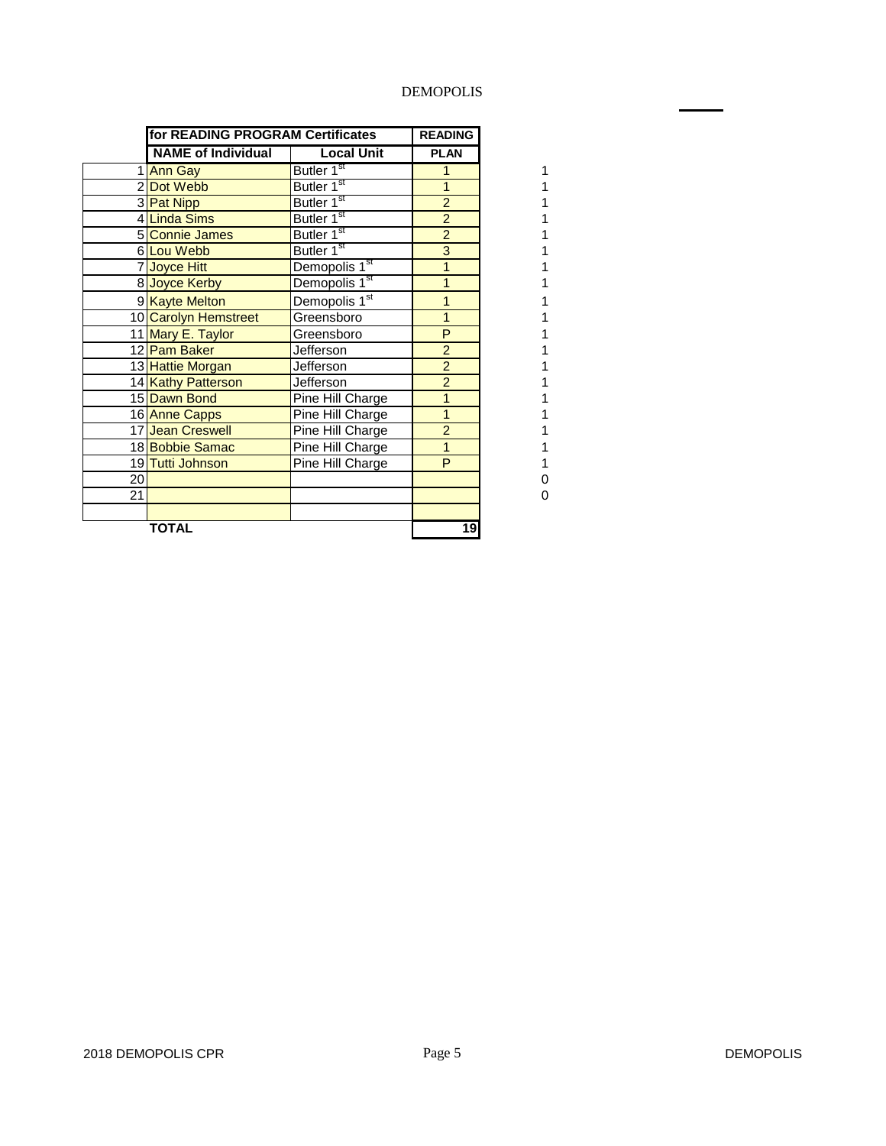|    | for READING PROGRAM Certificates |                           | <b>READING</b> |
|----|----------------------------------|---------------------------|----------------|
|    | <b>NAME of Individual</b>        | <b>Local Unit</b>         | <b>PLAN</b>    |
|    | 1 Ann Gay                        | Butler 1 <sup>st</sup>    | 1              |
|    | 2 Dot Webb                       | Butler 1 <sup>st</sup>    | 1              |
|    | 3 Pat Nipp                       | Butler 1 <sup>st</sup>    | $\overline{2}$ |
|    | 4 <mark>Linda Sims</mark>        | Butler 1 <sup>st</sup>    | $\overline{2}$ |
|    | 5 Connie James                   | Butler 1 <sup>st</sup>    | $\overline{2}$ |
|    | 6 Lou Webb                       | Butler 1 <sup>st</sup>    | 3              |
|    | 7 Joyce Hitt                     | Demopolis 1 <sup>st</sup> | 1              |
|    | 8 Joyce Kerby                    | Demopolis 1 <sup>st</sup> | 1              |
|    | 9 Kayte Melton                   | Demopolis 1st             | 1              |
|    | 10 Carolyn Hemstreet             | Greensboro                | 1              |
|    | 11 Mary E. Taylor                | Greensboro                | P              |
|    | 12 Pam Baker                     | Jefferson                 | $\overline{2}$ |
|    | 13 Hattie Morgan                 | <b>Jefferson</b>          | $\overline{2}$ |
|    | 14 Kathy Patterson               | Jefferson                 | $\overline{2}$ |
|    | 15 Dawn Bond                     | Pine Hill Charge          | 1              |
|    | 16 Anne Capps                    | Pine Hill Charge          | 1              |
|    | 17 Jean Creswell                 | Pine Hill Charge          | $\overline{2}$ |
|    | 18 Bobbie Samac                  | Pine Hill Charge          | $\mathbf{1}$   |
|    | 19 Tutti Johnson                 | Pine Hill Charge          | P              |
| 20 |                                  |                           |                |
| 21 |                                  |                           |                |
|    |                                  |                           |                |
|    | <b>TOTAL</b>                     |                           | 19             |